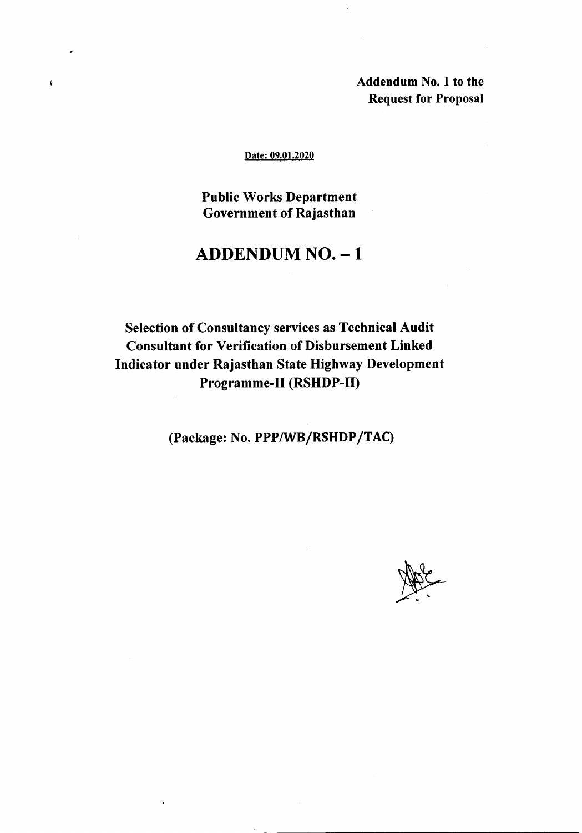Addendum No.1 to the Request for Proposal

#### Date: 09.01.2020

 $\mathbf{t}$ 

Public Works Department Government of Rajasthan

## ADDENDUM NO. - 1

Selection of Consultancy services as Technical Audit Consultant for Verification of Disbursement Linked Indicator under Rajasthan State Highway Development Programme-II (RSHDP-II)

(Package: No. PPPIWB/RSHDP/TAC)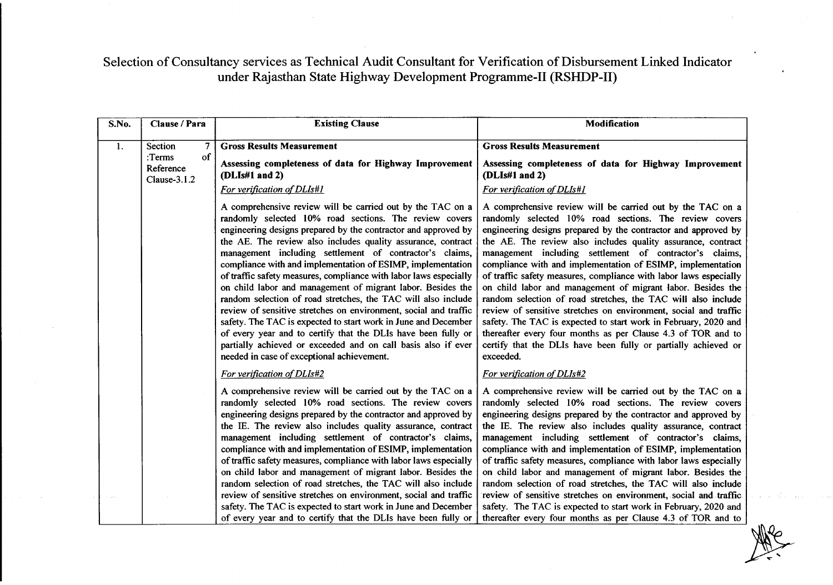Selection of Consultancy services as Technical Audit Consultant for Verification of Disbursement Linked Indicator under Rajasthan State Highway Development Programme-II (RSHDP-II)

| S.No. | Clause / Para                                                             | <b>Existing Clause</b>                                                                                                                                                                                                                                                                                                                                                                                                                                                                                                                                                                                                                                                                                                                                                                                                                                                                                      | <b>Modification</b>                                                                                                                                                                                                                                                                                                                                                                                                                                                                                                                                                                                                                                                                                                                                                                                                                                                         |
|-------|---------------------------------------------------------------------------|-------------------------------------------------------------------------------------------------------------------------------------------------------------------------------------------------------------------------------------------------------------------------------------------------------------------------------------------------------------------------------------------------------------------------------------------------------------------------------------------------------------------------------------------------------------------------------------------------------------------------------------------------------------------------------------------------------------------------------------------------------------------------------------------------------------------------------------------------------------------------------------------------------------|-----------------------------------------------------------------------------------------------------------------------------------------------------------------------------------------------------------------------------------------------------------------------------------------------------------------------------------------------------------------------------------------------------------------------------------------------------------------------------------------------------------------------------------------------------------------------------------------------------------------------------------------------------------------------------------------------------------------------------------------------------------------------------------------------------------------------------------------------------------------------------|
| 1.    | $\overline{7}$<br>Section<br>of<br>$:$ Terms<br>Reference<br>Clause-3.1.2 | <b>Gross Results Measurement</b><br>Assessing completeness of data for Highway Improvement<br>(DLIs#1 and 2)<br>For verification of DLIs#1                                                                                                                                                                                                                                                                                                                                                                                                                                                                                                                                                                                                                                                                                                                                                                  | <b>Gross Results Measurement</b><br>Assessing completeness of data for Highway Improvement<br>(DLIs#1 and 2)<br>For verification of DLIs#1                                                                                                                                                                                                                                                                                                                                                                                                                                                                                                                                                                                                                                                                                                                                  |
|       |                                                                           | A comprehensive review will be carried out by the TAC on a<br>randomly selected 10% road sections. The review covers<br>engineering designs prepared by the contractor and approved by<br>the AE. The review also includes quality assurance, contract<br>management including settlement of contractor's claims,<br>compliance with and implementation of ESIMP, implementation<br>of traffic safety measures, compliance with labor laws especially<br>on child labor and management of migrant labor. Besides the<br>random selection of road stretches, the TAC will also include<br>review of sensitive stretches on environment, social and traffic<br>safety. The TAC is expected to start work in June and December<br>of every year and to certify that the DLIs have been fully or<br>partially achieved or exceeded and on call basis also if ever<br>needed in case of exceptional achievement. | A comprehensive review will be carried out by the TAC on a<br>randomly selected 10% road sections. The review covers<br>engineering designs prepared by the contractor and approved by<br>the AE. The review also includes quality assurance, contract<br>management including settlement of contractor's claims,<br>compliance with and implementation of ESIMP, implementation<br>of traffic safety measures, compliance with labor laws especially<br>on child labor and management of migrant labor. Besides the<br>random selection of road stretches, the TAC will also include<br>review of sensitive stretches on environment, social and traffic<br>safety. The TAC is expected to start work in February, 2020 and<br>thereafter every four months as per Clause 4.3 of TOR and to<br>certify that the DLIs have been fully or partially achieved or<br>exceeded. |
|       |                                                                           | For verification of DLIs#2                                                                                                                                                                                                                                                                                                                                                                                                                                                                                                                                                                                                                                                                                                                                                                                                                                                                                  | <b>For verification of DLIs#2</b>                                                                                                                                                                                                                                                                                                                                                                                                                                                                                                                                                                                                                                                                                                                                                                                                                                           |
|       |                                                                           | A comprehensive review will be carried out by the TAC on a<br>randomly selected 10% road sections. The review covers<br>engineering designs prepared by the contractor and approved by<br>the IE. The review also includes quality assurance, contract<br>management including settlement of contractor's claims,<br>compliance with and implementation of ESIMP, implementation<br>of traffic safety measures, compliance with labor laws especially<br>on child labor and management of migrant labor. Besides the<br>random selection of road stretches, the TAC will also include                                                                                                                                                                                                                                                                                                                       | A comprehensive review will be carried out by the TAC on a<br>randomly selected 10% road sections. The review covers<br>engineering designs prepared by the contractor and approved by<br>the IE. The review also includes quality assurance, contract<br>management including settlement of contractor's claims,<br>compliance with and implementation of ESIMP, implementation<br>of traffic safety measures, compliance with labor laws especially<br>on child labor and management of migrant labor. Besides the<br>random selection of road stretches, the TAC will also include                                                                                                                                                                                                                                                                                       |
|       |                                                                           | review of sensitive stretches on environment, social and traffic<br>safety. The TAC is expected to start work in June and December<br>of every year and to certify that the DLIs have been fully or                                                                                                                                                                                                                                                                                                                                                                                                                                                                                                                                                                                                                                                                                                         | review of sensitive stretches on environment, social and traffic<br>safety. The TAC is expected to start work in February, 2020 and<br>thereafter every four months as per Clause 4.3 of TOR and to                                                                                                                                                                                                                                                                                                                                                                                                                                                                                                                                                                                                                                                                         |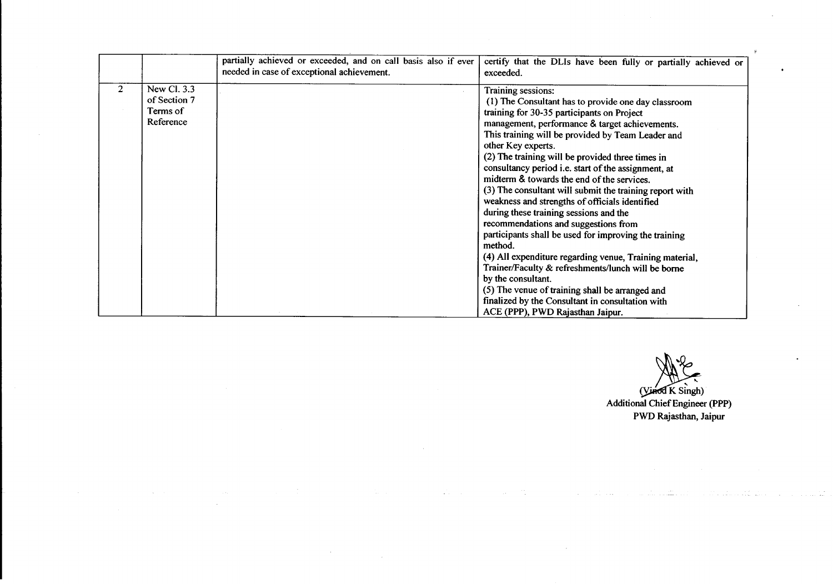|              |              | partially achieved or exceeded, and on call basis also if ever<br>needed in case of exceptional achievement. | certify that the DLIs have been fully or partially achieved or<br>exceeded. |  |
|--------------|--------------|--------------------------------------------------------------------------------------------------------------|-----------------------------------------------------------------------------|--|
| $\mathbf{2}$ | New Cl. 3.3  |                                                                                                              | Training sessions:                                                          |  |
|              | of Section 7 |                                                                                                              | (1) The Consultant has to provide one day classroom                         |  |
|              | Terms of     |                                                                                                              | training for 30-35 participants on Project                                  |  |
|              | Reference    |                                                                                                              | management, performance & target achievements.                              |  |
|              |              |                                                                                                              | This training will be provided by Team Leader and                           |  |
|              |              |                                                                                                              | other Key experts.                                                          |  |
|              |              |                                                                                                              | (2) The training will be provided three times in                            |  |
|              |              |                                                                                                              | consultancy period i.e. start of the assignment, at                         |  |
|              |              |                                                                                                              | midterm & towards the end of the services.                                  |  |
|              |              |                                                                                                              | (3) The consultant will submit the training report with                     |  |
|              |              |                                                                                                              | weakness and strengths of officials identified                              |  |
|              |              |                                                                                                              | during these training sessions and the                                      |  |
|              |              |                                                                                                              | recommendations and suggestions from                                        |  |
|              |              |                                                                                                              | participants shall be used for improving the training                       |  |
|              |              |                                                                                                              | method.                                                                     |  |
|              |              |                                                                                                              | (4) All expenditure regarding venue, Training material,                     |  |
|              |              |                                                                                                              | Trainer/Faculty & refreshments/lunch will be borne                          |  |
|              |              |                                                                                                              | by the consultant.                                                          |  |
|              |              |                                                                                                              | (5) The venue of training shall be arranged and                             |  |
|              |              |                                                                                                              | finalized by the Consultant in consultation with                            |  |
|              |              |                                                                                                              | ACE (PPP), PWD Rajasthan Jaipur.                                            |  |

 $\mathcal{L}$ 

 $\sim 10^6$ 

 $\sim$ 

 $\Delta\sim 100$ 

 $\sim$ 

A<br>K Singh) Additional Chief Engineer (PPP) PWD Rajasthan, Jaipur

 $\sim$ 

 $\frac{1}{2}$  ,  $\frac{1}{2}$  ,  $\frac{1}{2}$  ,  $\frac{1}{2}$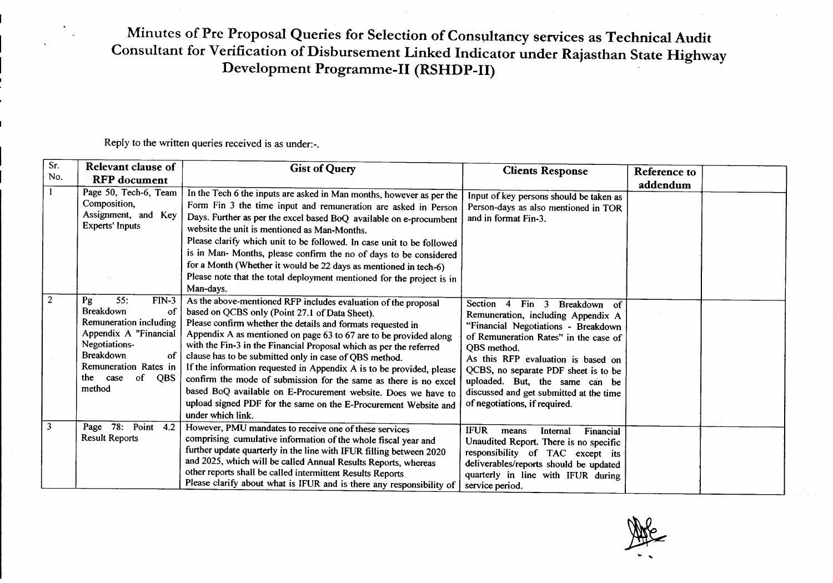## Minutes of Pre Proposal Queries for Selection of Consultancy services as Technical Audit Consultant for Verification of Disbursement Linked Indicator under Rajasthan State Highway Development Programme-II (RSHDP-II)

Reply to the written queries received is as under.-.

| Sr. | Relevant clause of                                                                                                                                                                                                  | <b>Gist of Query</b>                                                                                                                                                                                                                                                                                                                                                                                                                                                                                                                                                                                                                                                                      | <b>Clients Response</b>                                                                                                                                                                                                                                                                                                                                                          | Reference to |  |
|-----|---------------------------------------------------------------------------------------------------------------------------------------------------------------------------------------------------------------------|-------------------------------------------------------------------------------------------------------------------------------------------------------------------------------------------------------------------------------------------------------------------------------------------------------------------------------------------------------------------------------------------------------------------------------------------------------------------------------------------------------------------------------------------------------------------------------------------------------------------------------------------------------------------------------------------|----------------------------------------------------------------------------------------------------------------------------------------------------------------------------------------------------------------------------------------------------------------------------------------------------------------------------------------------------------------------------------|--------------|--|
| No. | <b>RFP</b> document                                                                                                                                                                                                 |                                                                                                                                                                                                                                                                                                                                                                                                                                                                                                                                                                                                                                                                                           |                                                                                                                                                                                                                                                                                                                                                                                  | addendum     |  |
|     | Page 50, Tech-6, Team<br>Composition,<br>Assignment, and Key<br><b>Experts' Inputs</b>                                                                                                                              | In the Tech 6 the inputs are asked in Man months, however as per the<br>Form Fin 3 the time input and remuneration are asked in Person<br>Days. Further as per the excel based BoQ available on e-procumbent<br>website the unit is mentioned as Man-Months.<br>Please clarify which unit to be followed. In case unit to be followed<br>is in Man- Months, please confirm the no of days to be considered<br>for a Month (Whether it would be 22 days as mentioned in tech-6)<br>Please note that the total deployment mentioned for the project is in<br>Man-days.                                                                                                                      | Input of key persons should be taken as<br>Person-days as also mentioned in TOR<br>and in format Fin-3.                                                                                                                                                                                                                                                                          |              |  |
|     | 55:<br>Pg<br>$FIN-3$<br>Breakdown<br>of<br>Remuneration including<br>Appendix A "Financial"<br>Negotiations-<br><b>Breakdown</b><br><b>of</b><br>Remuneration Rates in<br>the<br>of<br>case<br><b>QBS</b><br>method | As the above-mentioned RFP includes evaluation of the proposal<br>based on QCBS only (Point 27.1 of Data Sheet).<br>Please confirm whether the details and formats requested in<br>Appendix A as mentioned on page 63 to 67 are to be provided along<br>with the Fin-3 in the Financial Proposal which as per the referred<br>clause has to be submitted only in case of QBS method.<br>If the information requested in Appendix A is to be provided, please<br>confirm the mode of submission for the same as there is no excel<br>based BoQ available on E-Procurement website. Does we have to<br>upload signed PDF for the same on the E-Procurement Website and<br>under which link. | Section 4<br>$\lim_{x \to 0}$ 3<br>Breakdown of<br>Remuneration, including Appendix A<br>"Financial Negotiations - Breakdown<br>of Remuneration Rates" in the case of<br>QBS method.<br>As this RFP evaluation is based on<br>QCBS, no separate PDF sheet is to be<br>uploaded. But, the same can be<br>discussed and get submitted at the time<br>of negotiations, if required. |              |  |
| 3   | Page $78$ :<br>Point 4.2<br><b>Result Reports</b>                                                                                                                                                                   | However, PMU mandates to receive one of these services<br>comprising cumulative information of the whole fiscal year and<br>further update quarterly in the line with IFUR filling between 2020<br>and 2025, which will be called Annual Results Reports, whereas<br>other reports shall be called intermittent Results Reports<br>Please clarify about what is IFUR and is there any responsibility of                                                                                                                                                                                                                                                                                   | <b>IFUR</b><br>Financial<br>Internal<br>means<br>Unaudited Report. There is no specific<br>responsibility of TAC except its<br>deliverables/reports should be updated<br>quarterly in line with IFUR during<br>service period.                                                                                                                                                   |              |  |

 $\ddot{\phantom{0}}$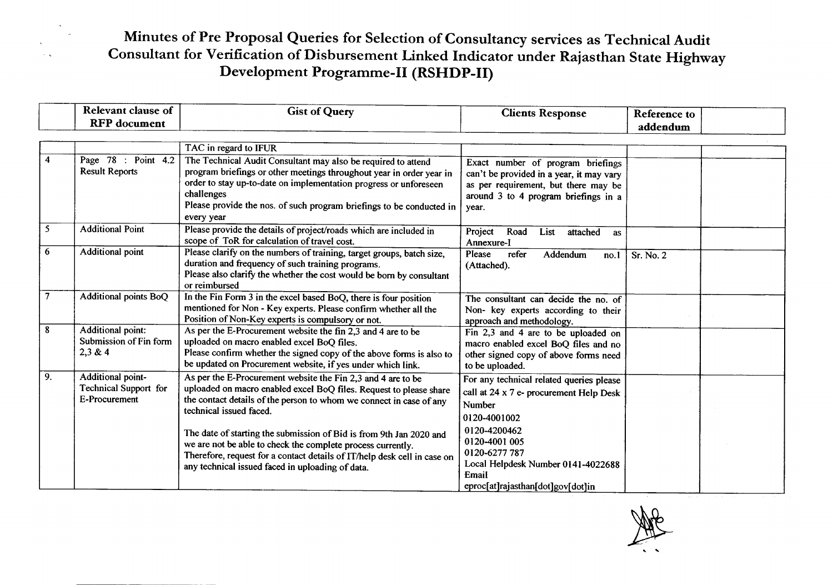### Minutes of Pre Proposal Queries for Selection of Consultancy services as Technical Audit Consultant for Verification of Disbursement Linked Indicator under Rajasthan State Highway Development Programme-II (RSHDP-II)

|                | <b>Relevant clause of</b>                                   | <b>Gist of Query</b>                                                                                                                                                                                                                                                                                                                                                                                                                                                                                       | <b>Clients Response</b>                                                                                                                                                                                                                                    | Reference to |  |
|----------------|-------------------------------------------------------------|------------------------------------------------------------------------------------------------------------------------------------------------------------------------------------------------------------------------------------------------------------------------------------------------------------------------------------------------------------------------------------------------------------------------------------------------------------------------------------------------------------|------------------------------------------------------------------------------------------------------------------------------------------------------------------------------------------------------------------------------------------------------------|--------------|--|
|                | <b>RFP</b> document                                         |                                                                                                                                                                                                                                                                                                                                                                                                                                                                                                            |                                                                                                                                                                                                                                                            | addendum     |  |
|                |                                                             |                                                                                                                                                                                                                                                                                                                                                                                                                                                                                                            |                                                                                                                                                                                                                                                            |              |  |
|                |                                                             | TAC in regard to IFUR                                                                                                                                                                                                                                                                                                                                                                                                                                                                                      |                                                                                                                                                                                                                                                            |              |  |
| 4              | Page 78 : Point 4.2<br><b>Result Reports</b>                | The Technical Audit Consultant may also be required to attend<br>program briefings or other meetings throughout year in order year in<br>order to stay up-to-date on implementation progress or unforeseen<br>challenges<br>Please provide the nos. of such program briefings to be conducted in<br>every year                                                                                                                                                                                             | Exact number of program briefings<br>can't be provided in a year, it may vary<br>as per requirement, but there may be<br>around 3 to 4 program briefings in a<br>year.                                                                                     |              |  |
| 5              | <b>Additional Point</b>                                     | Please provide the details of project/roads which are included in<br>scope of ToR for calculation of travel cost.                                                                                                                                                                                                                                                                                                                                                                                          | Project<br>Road<br>List<br>attached<br>as<br>Annexure-I                                                                                                                                                                                                    |              |  |
| 6              | Additional point                                            | Please clarify on the numbers of training, target groups, batch size,<br>duration and frequency of such training programs.<br>Please also clarify the whether the cost would be born by consultant<br>or reimbursed                                                                                                                                                                                                                                                                                        | Please<br>refer<br>Addendum<br>no.1<br>(Attached).                                                                                                                                                                                                         | Sr. No. 2    |  |
| $\overline{7}$ | Additional points BoQ                                       | In the Fin Form 3 in the excel based BoQ, there is four position<br>mentioned for Non - Key experts. Please confirm whether all the<br>Position of Non-Key experts is compulsory or not.                                                                                                                                                                                                                                                                                                                   | The consultant can decide the no. of<br>Non- key experts according to their<br>approach and methodology.                                                                                                                                                   |              |  |
| 8              | Additional point:<br>Submission of Fin form<br>2,3 & 4      | As per the E-Procurement website the fin 2,3 and 4 are to be<br>uploaded on macro enabled excel BoQ files.<br>Please confirm whether the signed copy of the above forms is also to<br>be updated on Procurement website, if yes under which link.                                                                                                                                                                                                                                                          | Fin $2,3$ and $\overline{4}$ are to be uploaded on<br>macro enabled excel BoQ files and no<br>other signed copy of above forms need<br>to be uploaded.                                                                                                     |              |  |
| 9.             | Additional point-<br>Technical Support for<br>E-Procurement | As per the E-Procurement website the Fin 2,3 and 4 are to be<br>uploaded on macro enabled excel BoQ files. Request to please share<br>the contact details of the person to whom we connect in case of any<br>technical issued faced.<br>The date of starting the submission of Bid is from 9th Jan 2020 and<br>we are not be able to check the complete process currently.<br>Therefore, request for a contact details of IT/help desk cell in case on<br>any technical issued faced in uploading of data. | For any technical related queries please<br>call at 24 x 7 e- procurement Help Desk<br><b>Number</b><br>0120-4001002<br>0120-4200462<br>0120-4001 005<br>0120-6277 787<br>Local Helpdesk Number 0141-4022688<br>Email<br>eproc[at]rajasthan[dot]gov[dot]in |              |  |

مبر<br>,<br>,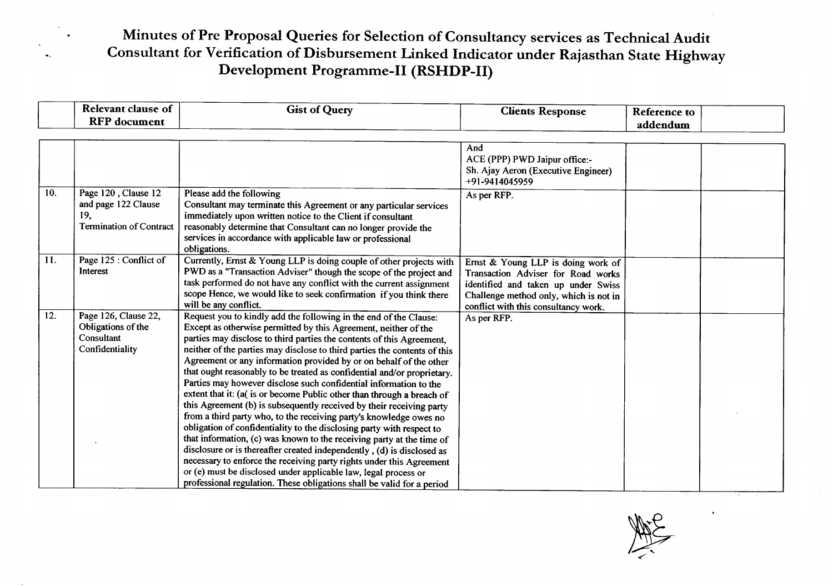### Minutes of Pre Proposal Queries for Selection of Consultancy services as Technical Audit Consultant for Verification of Disbursement linked Indicator under Rajasthan State Highway Development Programme-II **(RSHDP-II)**

|     | <b>Relevant clause of</b>                                                           | <b>Gist of Query</b>                                                                                                                                                                                                                                                                                                                                                                                                                                                                                                                                                                                                                                                                                                                                                                                                                                                                                                                                                                                                                                                                                                                                                                      | <b>Clients Response</b>                                                                                                                                                                           | Reference to |  |
|-----|-------------------------------------------------------------------------------------|-------------------------------------------------------------------------------------------------------------------------------------------------------------------------------------------------------------------------------------------------------------------------------------------------------------------------------------------------------------------------------------------------------------------------------------------------------------------------------------------------------------------------------------------------------------------------------------------------------------------------------------------------------------------------------------------------------------------------------------------------------------------------------------------------------------------------------------------------------------------------------------------------------------------------------------------------------------------------------------------------------------------------------------------------------------------------------------------------------------------------------------------------------------------------------------------|---------------------------------------------------------------------------------------------------------------------------------------------------------------------------------------------------|--------------|--|
|     | <b>RFP</b> document                                                                 |                                                                                                                                                                                                                                                                                                                                                                                                                                                                                                                                                                                                                                                                                                                                                                                                                                                                                                                                                                                                                                                                                                                                                                                           |                                                                                                                                                                                                   | addendum     |  |
|     |                                                                                     |                                                                                                                                                                                                                                                                                                                                                                                                                                                                                                                                                                                                                                                                                                                                                                                                                                                                                                                                                                                                                                                                                                                                                                                           |                                                                                                                                                                                                   |              |  |
|     |                                                                                     |                                                                                                                                                                                                                                                                                                                                                                                                                                                                                                                                                                                                                                                                                                                                                                                                                                                                                                                                                                                                                                                                                                                                                                                           | And<br>ACE (PPP) PWD Jaipur office:-<br>Sh. Ajay Aeron (Executive Engineer)<br>+91-9414045959                                                                                                     |              |  |
| 10. | Page 120, Clause 12<br>and page 122 Clause<br>19,<br><b>Termination of Contract</b> | Please add the following<br>Consultant may terminate this Agreement or any particular services<br>immediately upon written notice to the Client if consultant<br>reasonably determine that Consultant can no longer provide the<br>services in accordance with applicable law or professional<br>obligations.                                                                                                                                                                                                                                                                                                                                                                                                                                                                                                                                                                                                                                                                                                                                                                                                                                                                             | As per RFP.                                                                                                                                                                                       |              |  |
| 11. | Page 125 : Conflict of<br>Interest                                                  | Currently, Ernst & Young LLP is doing couple of other projects with<br>PWD as a "Transaction Adviser" though the scope of the project and<br>task performed do not have any conflict with the current assignment<br>scope Hence, we would like to seek confirmation if you think there<br>will be any conflict.                                                                                                                                                                                                                                                                                                                                                                                                                                                                                                                                                                                                                                                                                                                                                                                                                                                                           | Ernst & Young LLP is doing work of<br>Transaction Adviser for Road works<br>identified and taken up under Swiss<br>Challenge method only, which is not in<br>conflict with this consultancy work. |              |  |
| 12. | Page 126, Clause 22,<br>Obligations of the<br>Consultant<br>Confidentiality         | Request you to kindly add the following in the end of the Clause:<br>Except as otherwise permitted by this Agreement, neither of the<br>parties may disclose to third parties the contents of this Agreement,<br>neither of the parties may disclose to third parties the contents of this<br>Agreement or any information provided by or on behalf of the other<br>that ought reasonably to be treated as confidential and/or proprietary.<br>Parties may however disclose such confidential information to the<br>extent that it: (a( is or become Public other than through a breach of<br>this Agreement (b) is subsequently received by their receiving party<br>from a third party who, to the receiving party's knowledge owes no<br>obligation of confidentiality to the disclosing party with respect to<br>that information, (c) was known to the receiving party at the time of<br>disclosure or is thereafter created independently, (d) is disclosed as<br>necessary to enforce the receiving party rights under this Agreement<br>or (e) must be disclosed under applicable law, legal process or<br>professional regulation. These obligations shall be valid for a period | As per RFP.                                                                                                                                                                                       |              |  |

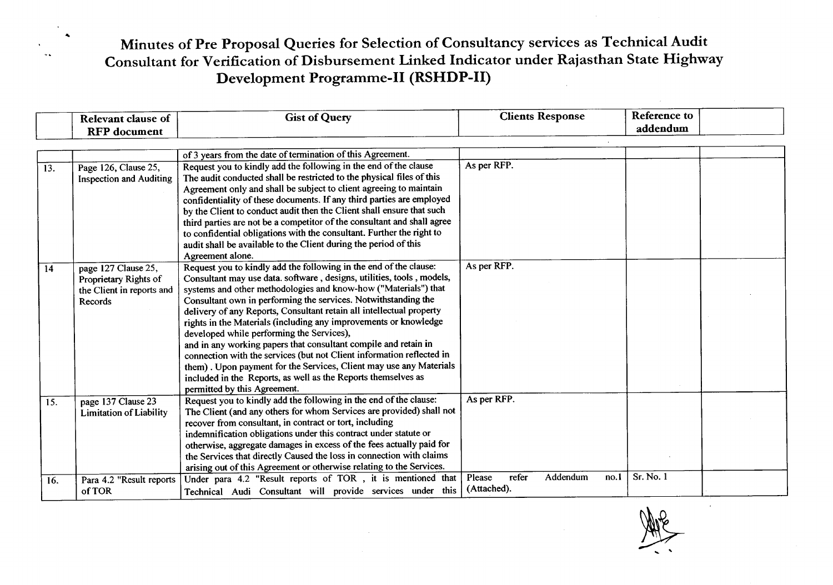## ... Minutes of Pre Proposal Queries for Selection of Consultancy services as Technical Audit Consultant for Verification of Disbursement Linked Indicator under Rajasthan State Highway Development Programme-II **(RSHDP-II)**

|     | <b>Relevant clause of</b>      | <b>Gist of Query</b>                                                                                                                   | <b>Clients Response</b>             | Reference to |  |
|-----|--------------------------------|----------------------------------------------------------------------------------------------------------------------------------------|-------------------------------------|--------------|--|
|     | <b>RFP</b> document            |                                                                                                                                        |                                     | addendum     |  |
|     |                                |                                                                                                                                        |                                     |              |  |
|     |                                | of 3 years from the date of termination of this Agreement.                                                                             |                                     |              |  |
| 13. | Page 126, Clause 25,           | Request you to kindly add the following in the end of the clause                                                                       | As per RFP.                         |              |  |
|     | <b>Inspection and Auditing</b> | The audit conducted shall be restricted to the physical files of this                                                                  |                                     |              |  |
|     |                                | Agreement only and shall be subject to client agreeing to maintain                                                                     |                                     |              |  |
|     |                                | confidentiality of these documents. If any third parties are employed                                                                  |                                     |              |  |
|     |                                | by the Client to conduct audit then the Client shall ensure that such                                                                  |                                     |              |  |
|     |                                | third parties are not be a competitor of the consultant and shall agree                                                                |                                     |              |  |
|     |                                | to confidential obligations with the consultant. Further the right to                                                                  |                                     |              |  |
|     |                                | audit shall be available to the Client during the period of this                                                                       |                                     |              |  |
|     |                                | Agreement alone.                                                                                                                       |                                     |              |  |
| 14  | page 127 Clause 25,            | Request you to kindly add the following in the end of the clause:                                                                      | As per RFP.                         |              |  |
|     | Proprietary Rights of          | Consultant may use data. software, designs, utilities, tools, models,                                                                  |                                     |              |  |
|     | the Client in reports and      | systems and other methodologies and know-how ("Materials") that                                                                        |                                     |              |  |
|     | Records                        | Consultant own in performing the services. Notwithstanding the<br>delivery of any Reports, Consultant retain all intellectual property |                                     |              |  |
|     |                                | rights in the Materials (including any improvements or knowledge                                                                       |                                     |              |  |
|     |                                | developed while performing the Services),                                                                                              |                                     |              |  |
|     |                                | and in any working papers that consultant compile and retain in                                                                        |                                     |              |  |
|     |                                | connection with the services (but not Client information reflected in                                                                  |                                     |              |  |
|     |                                | them). Upon payment for the Services, Client may use any Materials                                                                     |                                     |              |  |
|     |                                | included in the Reports, as well as the Reports themselves as                                                                          |                                     |              |  |
|     |                                | permitted by this Agreement.                                                                                                           |                                     |              |  |
| 15. | page 137 Clause 23             | Request you to kindly add the following in the end of the clause:                                                                      | As per RFP.                         |              |  |
|     | <b>Limitation of Liability</b> | The Client (and any others for whom Services are provided) shall not                                                                   |                                     |              |  |
|     |                                | recover from consultant, in contract or tort, including                                                                                |                                     |              |  |
|     |                                | indemnification obligations under this contract under statute or                                                                       |                                     |              |  |
|     |                                | otherwise, aggregate damages in excess of the fees actually paid for                                                                   |                                     |              |  |
|     |                                | the Services that directly Caused the loss in connection with claims                                                                   |                                     |              |  |
|     |                                | arising out of this Agreement or otherwise relating to the Services.                                                                   |                                     |              |  |
| 16. | Para 4.2 "Result reports       | Under para 4.2 "Result reports of TOR, it is mentioned that                                                                            | refer<br>Addendum<br>Please<br>no.1 | Sr. No. 1    |  |
|     | of TOR                         | Technical Audi Consultant will provide services under this                                                                             | (Attached).                         |              |  |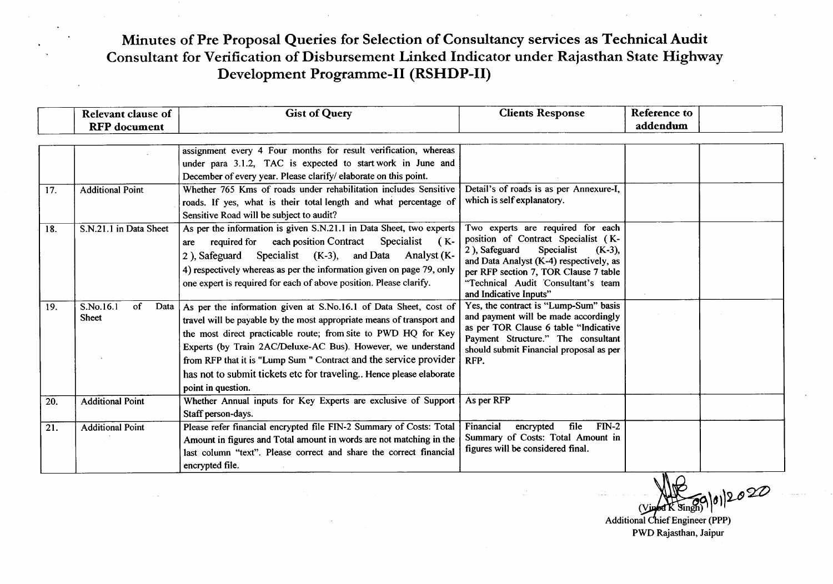#### Minutes of Pre Proposal Queries for Selection of Consultancy services as Technical Audit Consultant for Verification of Disbursement Linked Indicator under Rajasthan State Highway Development Programme-II (RSHDP-II)

|     | <b>Relevant clause of</b>                     | <b>Gist of Query</b>                                                                                                                                                                                                                                                                                                                                                                                                                         | <b>Clients Response</b>                                                                                                                                                                                                                                                  | <b>Reference to</b> |  |
|-----|-----------------------------------------------|----------------------------------------------------------------------------------------------------------------------------------------------------------------------------------------------------------------------------------------------------------------------------------------------------------------------------------------------------------------------------------------------------------------------------------------------|--------------------------------------------------------------------------------------------------------------------------------------------------------------------------------------------------------------------------------------------------------------------------|---------------------|--|
|     | <b>RFP</b> document                           |                                                                                                                                                                                                                                                                                                                                                                                                                                              |                                                                                                                                                                                                                                                                          | addendum            |  |
| 17. | <b>Additional Point</b>                       | assignment every 4 Four months for result verification, whereas<br>under para 3.1.2, TAC is expected to start work in June and<br>December of every year. Please clarify/elaborate on this point.<br>Whether 765 Kms of roads under rehabilitation includes Sensitive<br>roads. If yes, what is their total length and what percentage of                                                                                                    | Detail's of roads is as per Annexure-I,<br>which is self explanatory.                                                                                                                                                                                                    |                     |  |
| 18. | S.N.21.1 in Data Sheet                        | Sensitive Road will be subject to audit?<br>As per the information is given S.N.21.1 in Data Sheet, two experts<br>required for each position Contract Specialist<br>( K-<br>are<br>Specialist $(K-3)$ , and Data<br>Analyst (K-<br>2), Safeguard<br>4) respectively whereas as per the information given on page 79, only<br>one expert is required for each of above position. Please clarify.                                             | Two experts are required for each<br>position of Contract Specialist (K-<br>2), Safeguard<br>Specialist<br>$(K-3)$ ,<br>and Data Analyst (K-4) respectively, as<br>per RFP section 7, TOR Clause 7 table<br>"Technical Audit Consultant's team<br>and Indicative Inputs" |                     |  |
| 19. | S.No.16.1<br>$\sigma$<br>Data<br><b>Sheet</b> | As per the information given at S.No.16.1 of Data Sheet, cost of<br>travel will be payable by the most appropriate means of transport and<br>the most direct practicable route; from site to PWD HQ for Key<br>Experts (by Train 2AC/Deluxe-AC Bus). However, we understand<br>from RFP that it is "Lump Sum " Contract and the service provider<br>has not to submit tickets etc for traveling Hence please elaborate<br>point in question. | Yes, the contract is "Lump-Sum" basis<br>and payment will be made accordingly<br>as per TOR Clause 6 table "Indicative<br>Payment Structure." The consultant<br>should submit Financial proposal as per<br>RFP.                                                          |                     |  |
| 20. | <b>Additional Point</b>                       | Whether Annual inputs for Key Experts are exclusive of Support<br>Staff person-days.                                                                                                                                                                                                                                                                                                                                                         | As per RFP                                                                                                                                                                                                                                                               |                     |  |
| 21. | <b>Additional Point</b>                       | Please refer financial encrypted file FIN-2 Summary of Costs: Total<br>Amount in figures and Total amount in words are not matching in the<br>last column "text". Please correct and share the correct financial<br>encrypted file.                                                                                                                                                                                                          | $FIN-2$<br>Financial<br>file<br>encrypted<br>Summary of Costs: Total Amount in<br>figures will be considered final.                                                                                                                                                      |                     |  |

*...* JB*<sup>~</sup> \_, ...~ZZ)* (Vinger K Singh) 0) 20

PWD Rajasthan, Jaipur